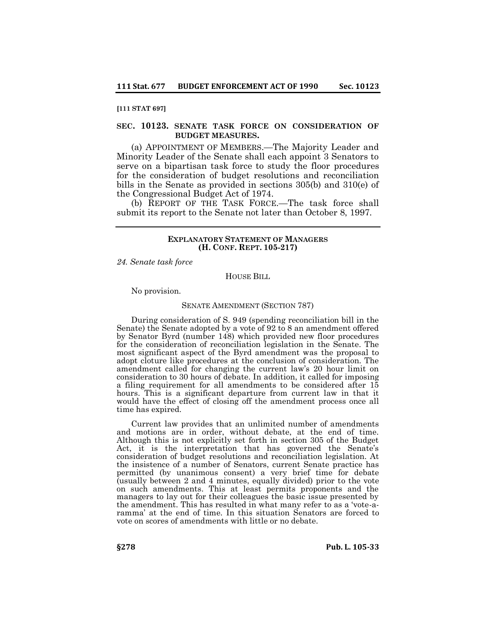#### **[111 STAT 697]**

# **SEC. 10123. SENATE TASK FORCE ON CONSIDERATION OF BUDGET MEASURES.**

(a) APPOINTMENT OF MEMBERS.—The Majority Leader and Minority Leader of the Senate shall each appoint 3 Senators to serve on a bipartisan task force to study the floor procedures for the consideration of budget resolutions and reconciliation bills in the Senate as provided in sections 305(b) and 310(e) of the Congressional Budget Act of 1974.

(b) REPORT OF THE TASK FORCE.—The task force shall submit its report to the Senate not later than October 8, 1997.

## **EXPLANATORY STATEMENT OF MANAGERS (H. CONF. REPT. 105-217)**

*24. Senate task force*

HOUSE BILL

No provision.

#### SENATE AMENDMENT (SECTION 787)

During consideration of S. 949 (spending reconciliation bill in the Senate) the Senate adopted by a vote of 92 to 8 an amendment offered by Senator Byrd (number 148) which provided new floor procedures for the consideration of reconciliation legislation in the Senate. The most significant aspect of the Byrd amendment was the proposal to adopt cloture like procedures at the conclusion of consideration. The amendment called for changing the current law's 20 hour limit on consideration to 30 hours of debate. In addition, it called for imposing a filing requirement for all amendments to be considered after 15 hours. This is a significant departure from current law in that it would have the effect of closing off the amendment process once all time has expired.

Current law provides that an unlimited number of amendments and motions are in order, without debate, at the end of time. Although this is not explicitly set forth in section 305 of the Budget Act, it is the interpretation that has governed the Senate's consideration of budget resolutions and reconciliation legislation. At the insistence of a number of Senators, current Senate practice has permitted (by unanimous consent) a very brief time for debate (usually between 2 and 4 minutes, equally divided) prior to the vote on such amendments. This at least permits proponents and the managers to lay out for their colleagues the basic issue presented by the amendment. This has resulted in what many refer to as a 'vote-aramma' at the end of time. In this situation Senators are forced to vote on scores of amendments with little or no debate.